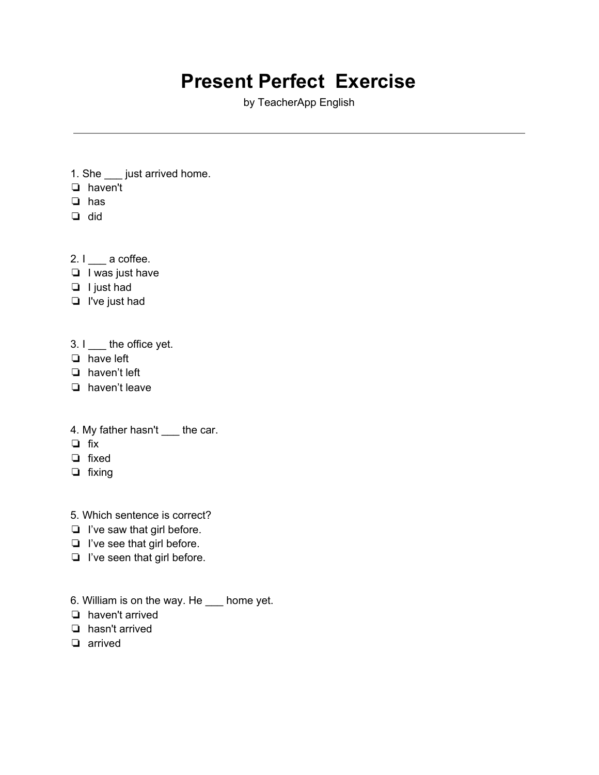## **Present Perfect Exercise**

by TeacherApp English

- 1. She \_\_\_ just arrived home.
- ❏ haven't
- ❏ has
- ❏ did
- 2.  $I$   $\qquad$  a coffee.
- ❏ I was just have
- ❏ I just had
- ❏ I've just had

3. I \_\_\_\_ the office yet.

- ❏ have left
- ❏ haven't left
- ❏ haven't leave
- 4. My father hasn't \_\_\_\_ the car.
- ❏ fix
- ❏ fixed
- ❏ fixing
- 5. Which sentence is correct?
- ❏ I've saw that girl before.
- ❏ I've see that girl before.
- ❏ I've seen that girl before.
- 6. William is on the way. He \_\_\_ home yet.
- ❏ haven't arrived
- ❏ hasn't arrived
- ❏ arrived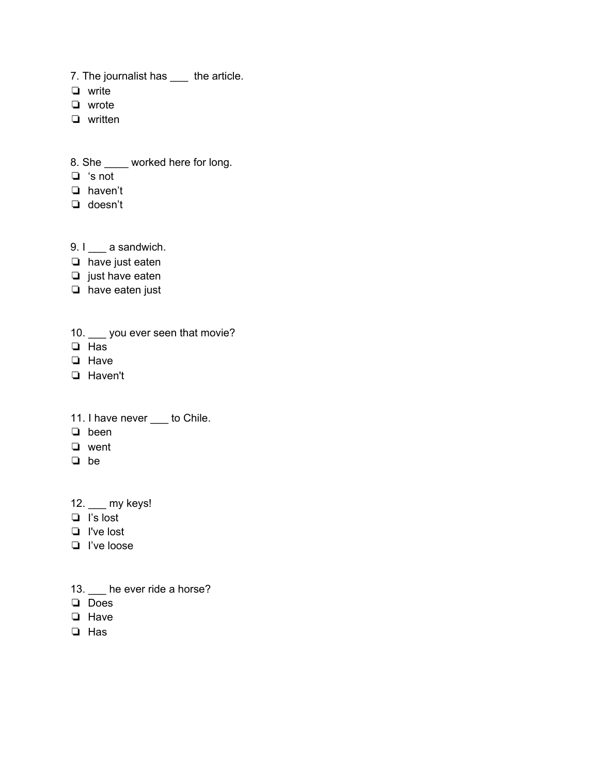7. The journalist has \_\_\_ the article.

❏ write

- ❏ wrote
- ❏ written
- 8. She \_\_\_\_ worked here for long.
- ❏ 's not
- ❏ haven't
- ❏ doesn't
- 9. I \_\_\_ a sandwich.
- ❏ have just eaten
- ❏ just have eaten
- ❏ have eaten just
- 10. \_\_\_ you ever seen that movie?
- ❏ Has
- ❏ Have
- ❏ Haven't
- 11. I have never \_\_\_ to Chile.
- ❏ been
- ❏ went
- ❏ be
- 12. \_\_\_ my keys!
- ❏ I's lost
- ❏ I've lost
- ❏ I've loose
- 13. **\_\_\_** he ever ride a horse?
- ❏ Does
- ❏ Have
- ❏ Has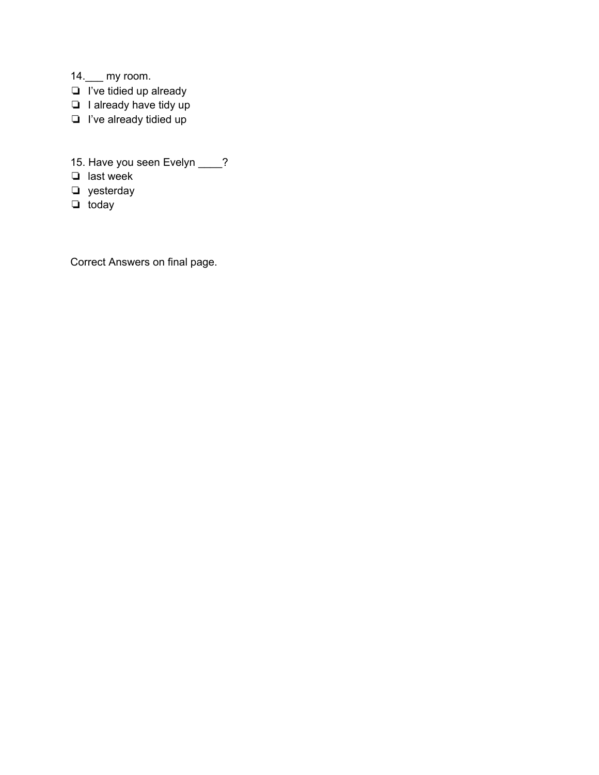- 14.\_\_\_ my room.
- ❏ I've tidied up already
- ❏ I already have tidy up
- ❏ I've already tidied up
- 15. Have you seen Evelyn \_\_\_\_?
- ❏ last week
- ❏ yesterday
- ❏ today

Correct Answers on final page.